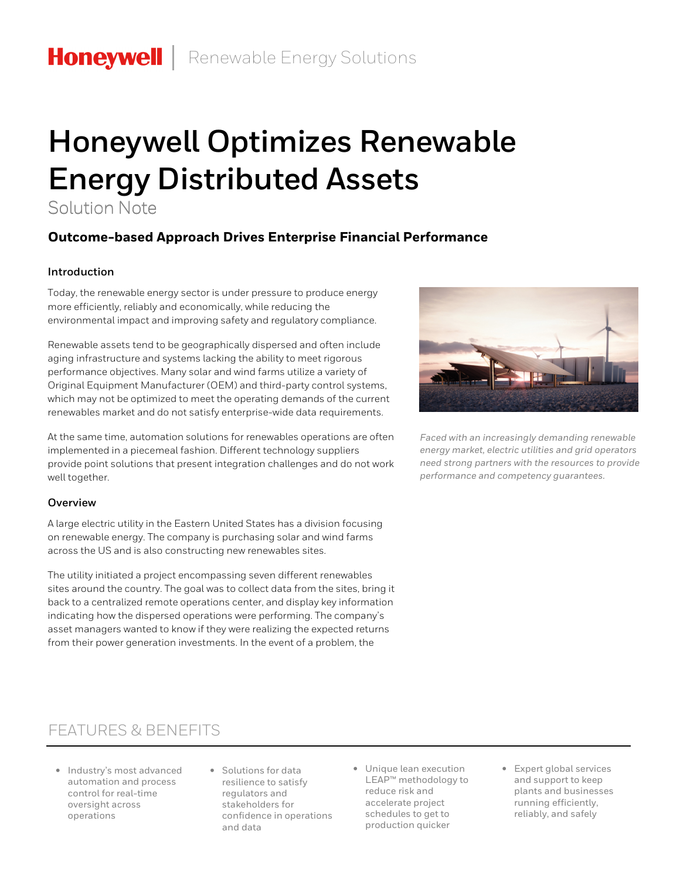# **Honeywell Optimizes Renewable Energy Distributed Assets**

Solution Note

### **Outcome-based Approach Drives Enterprise Financial Performance**

#### **Introduction**

Today, the renewable energy sector is under pressure to produce energy more efficiently, reliably and economically, while reducing the environmental impact and improving safety and regulatory compliance.

Renewable assets tend to be geographically dispersed and often include aging infrastructure and systems lacking the ability to meet rigorous performance objectives. Many solar and wind farms utilize a variety of Original Equipment Manufacturer (OEM) and third-party control systems, which may not be optimized to meet the operating demands of the current renewables market and do not satisfy enterprise-wide data requirements.

At the same time, automation solutions for renewables operations are often implemented in a piecemeal fashion. Different technology suppliers provide point solutions that present integration challenges and do not work well together.

#### **Overview**

A large electric utility in the Eastern United States has a division focusing on renewable energy. The company is purchasing solar and wind farms across the US and is also constructing new renewables sites.

The utility initiated a project encompassing seven different renewables sites around the country. The goal was to collect data from the sites, bring it back to a centralized remote operations center, and display key information indicating how the dispersed operations were performing. The company's asset managers wanted to know if they were realizing the expected returns from their power generation investments. In the event of a problem, the



*Faced with an increasingly demanding renewable energy market, electric utilities and grid operators need strong partners with the resources to provide performance and competency guarantees.*

## FEATURES & BENEFITS

- Industry's most advanced automation and process control for real-time oversight across operations
- Solutions for data resilience to satisfy regulators and stakeholders for confidence in operations and data
- Unique lean execution LEAP™ methodology to reduce risk and accelerate project schedules to get to production quicker
- Expert global services and support to keep plants and businesses running efficiently, reliably, and safely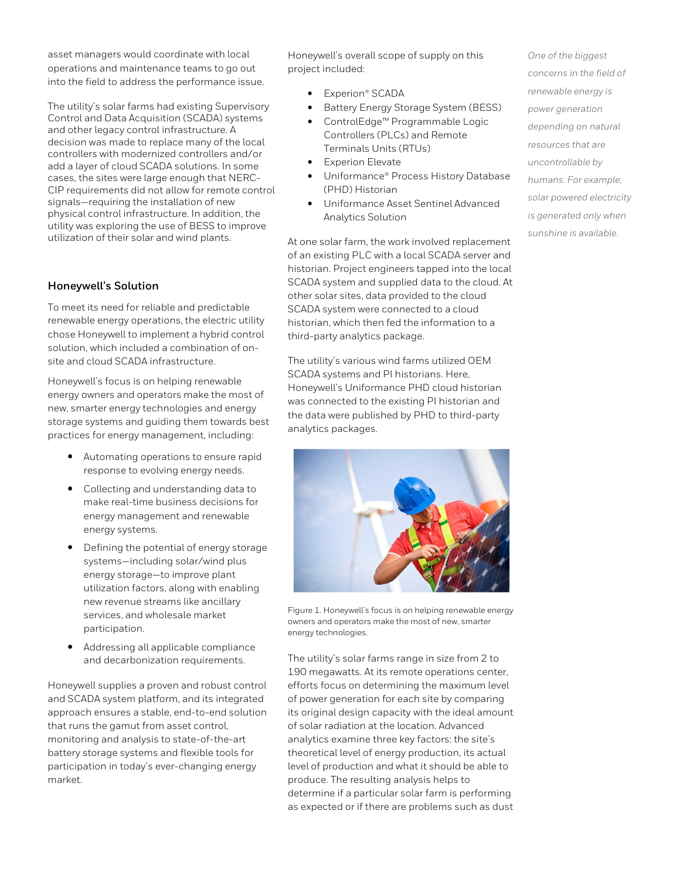asset managers would coordinate with local operations and maintenance teams to go out into the field to address the performance issue.

The utility's solar farms had existing Supervisory Control and Data Acquisition (SCADA) systems and other legacy control infrastructure. A decision was made to replace many of the local controllers with modernized controllers and/or add a layer of cloud SCADA solutions. In some cases, the sites were large enough that NERC-CIP requirements did not allow for remote control signals—requiring the installation of new physical control infrastructure. In addition, the utility was exploring the use of BESS to improve utilization of their solar and wind plants.

#### **Honeywell's Solution**

To meet its need for reliable and predictable renewable energy operations, the electric utility chose Honeywell to implement a hybrid control solution, which included a combination of onsite and cloud SCADA infrastructure.

Honeywell's focus is on helping renewable energy owners and operators make the most of new, smarter energy technologies and energy storage systems and guiding them towards best practices for energy management, including:

- Automating operations to ensure rapid response to evolving energy needs.
- Collecting and understanding data to make real-time business decisions for energy management and renewable energy systems.
- Defining the potential of energy storage systems—including solar/wind plus energy storage—to improve plant utilization factors, along with enabling new revenue streams like ancillary services, and wholesale market participation.
- Addressing all applicable compliance and decarbonization requirements.

Honeywell supplies a proven and robust control and SCADA system platform, and its integrated approach ensures a stable, end-to-end solution that runs the gamut from asset control, monitoring and analysis to state-of-the-art battery storage systems and flexible tools for participation in today's ever-changing energy market.

Honeywell's overall scope of supply on this project included:

- Experion<sup>®</sup> SCADA
- Battery Energy Storage System (BESS)
- ControlEdge™ Programmable Logic Controllers (PLCs) and Remote
- Terminals Units (RTUs)
- Experion Elevate
- Uniformance® Process History Database (PHD) Historian
- Uniformance Asset Sentinel Advanced Analytics Solution

At one solar farm, the work involved replacement of an existing PLC with a local SCADA server and historian. Project engineers tapped into the local SCADA system and supplied data to the cloud. At other solar sites, data provided to the cloud SCADA system were connected to a cloud historian, which then fed the information to a third-party analytics package.

The utility's various wind farms utilized OEM SCADA systems and PI historians. Here, Honeywell's Uniformance PHD cloud historian was connected to the existing PI historian and the data were published by PHD to third-party analytics packages.



Figure 1. Honeywell's focus is on helping renewable energy owners and operators make the most of new, smarter energy technologies.

The utility's solar farms range in size from 2 to 190 megawatts. At its remote operations center, efforts focus on determining the maximum level of power generation for each site by comparing its original design capacity with the ideal amount of solar radiation at the location. Advanced analytics examine three key factors: the site's theoretical level of energy production, its actual level of production and what it should be able to produce. The resulting analysis helps to determine if a particular solar farm is performing as expected or if there are problems such as dust

*One of the biggest concerns in the field of renewable energy is power generation depending on natural resources that are uncontrollable by humans. For example, solar powered electricity is generated only when sunshine is available.*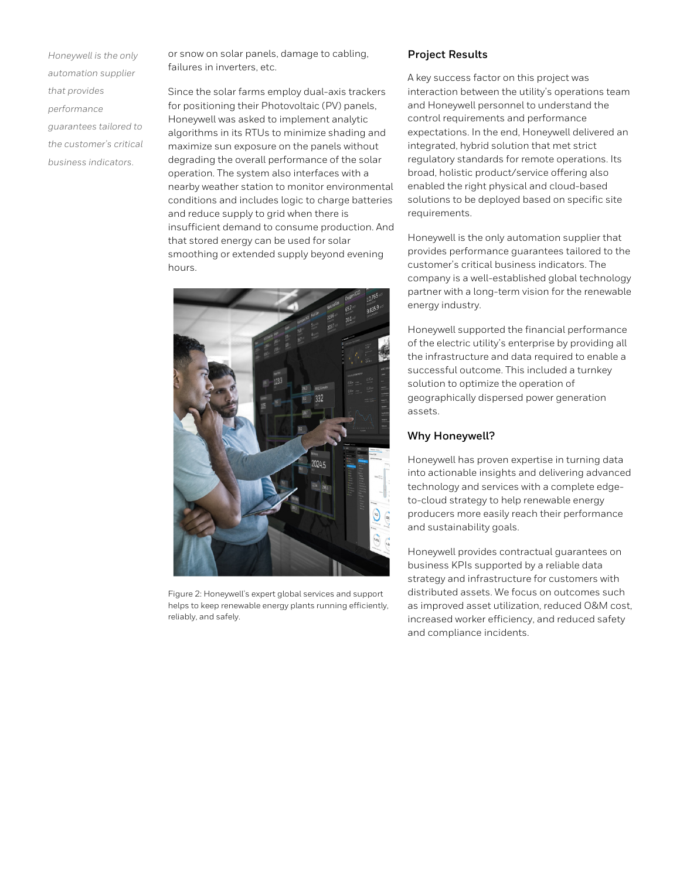*Honeywell is the only automation supplier that provides performance guarantees tailored to the customer's critical business indicators*.

or snow on solar panels, damage to cabling, failures in inverters, etc.

Since the solar farms employ dual-axis trackers for positioning their Photovoltaic (PV) panels, Honeywell was asked to implement analytic algorithms in its RTUs to minimize shading and maximize sun exposure on the panels without degrading the overall performance of the solar operation. The system also interfaces with a nearby weather station to monitor environmental conditions and includes logic to charge batteries and reduce supply to grid when there is insufficient demand to consume production. And that stored energy can be used for solar smoothing or extended supply beyond evening hours.



Figure 2: Honeywell's expert global services and support helps to keep renewable energy plants running efficiently, reliably, and safely.

#### **Project Results**

A key success factor on this project was interaction between the utility's operations team and Honeywell personnel to understand the control requirements and performance expectations. In the end, Honeywell delivered an integrated, hybrid solution that met strict regulatory standards for remote operations. Its broad, holistic product/service offering also enabled the right physical and cloud-based solutions to be deployed based on specific site requirements.

Honeywell is the only automation supplier that provides performance guarantees tailored to the customer's critical business indicators. The company is a well-established global technology partner with a long-term vision for the renewable energy industry.

Honeywell supported the financial performance of the electric utility's enterprise by providing all the infrastructure and data required to enable a successful outcome. This included a turnkey solution to optimize the operation of geographically dispersed power generation assets.

#### **Why Honeywell?**

Honeywell has proven expertise in turning data into actionable insights and delivering advanced technology and services with a complete edgeto-cloud strategy to help renewable energy producers more easily reach their performance and sustainability goals.

Honeywell provides contractual guarantees on business KPIs supported by a reliable data strategy and infrastructure for customers with distributed assets. We focus on outcomes such as improved asset utilization, reduced O&M cost, increased worker efficiency, and reduced safety and compliance incidents.